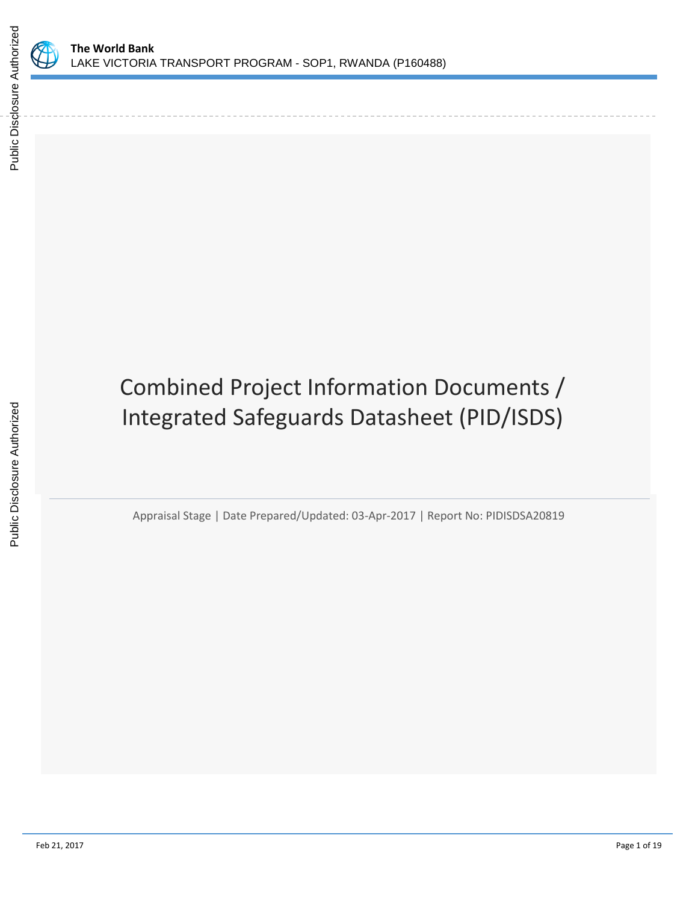

# Combined Project Information Documents / Integrated Safeguards Datasheet (PID/ISDS)

Appraisal Stage | Date Prepared/Updated: 03-Apr-2017 | Report No: PIDISDSA20819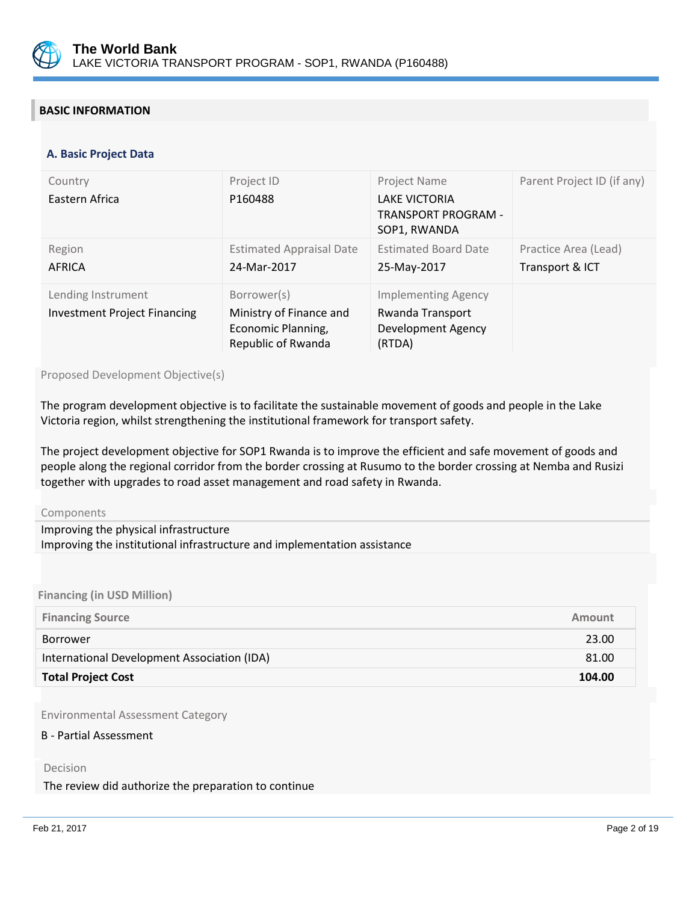

## **BASIC INFORMATION**

#### **OPS\_TABLE\_BASIC\_DATA A. Basic Project Data**

| Country<br>Eastern Africa                                 | Project ID<br>P160488                                                              | Project Name<br><b>LAKE VICTORIA</b><br><b>TRANSPORT PROGRAM -</b><br>SOP1, RWANDA | Parent Project ID (if any)              |
|-----------------------------------------------------------|------------------------------------------------------------------------------------|------------------------------------------------------------------------------------|-----------------------------------------|
| Region<br>AFRICA                                          | <b>Estimated Appraisal Date</b><br>24-Mar-2017                                     | <b>Estimated Board Date</b><br>25-May-2017                                         | Practice Area (Lead)<br>Transport & ICT |
| Lending Instrument<br><b>Investment Project Financing</b> | Borrower(s)<br>Ministry of Finance and<br>Economic Planning,<br>Republic of Rwanda | <b>Implementing Agency</b><br>Rwanda Transport<br>Development Agency<br>(RTDA)     |                                         |

Proposed Development Objective(s)

The program development objective is to facilitate the sustainable movement of goods and people in the Lake Victoria region, whilst strengthening the institutional framework for transport safety.

The project development objective for SOP1 Rwanda is to improve the efficient and safe movement of goods and people along the regional corridor from the border crossing at Rusumo to the border crossing at Nemba and Rusizi together with upgrades to road asset management and road safety in Rwanda.

#### Components

| Improving the physical infrastructure                                    |  |
|--------------------------------------------------------------------------|--|
| Improving the institutional infrastructure and implementation assistance |  |

**Financing (in USD Million)**

| <b>Financing Source</b>                     | Amount |
|---------------------------------------------|--------|
| Borrower                                    | 23.00  |
| International Development Association (IDA) | 81.00  |
| <b>Total Project Cost</b>                   | 104.00 |

Environmental Assessment Category

#### B - Partial Assessment

#### Decision

The review did authorize the preparation to continue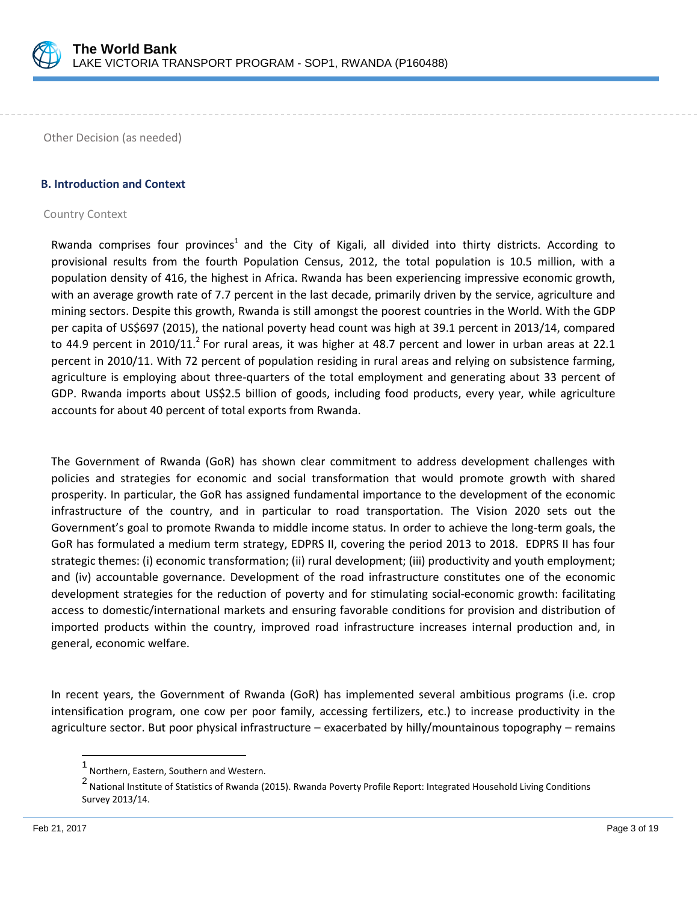

Other Decision (as needed)

#### **B. Introduction and Context**

#### Country Context

Rwanda comprises four provinces<sup>1</sup> and the City of Kigali, all divided into thirty districts. According to provisional results from the fourth Population Census, 2012, the total population is 10.5 million, with a population density of 416, the highest in Africa. Rwanda has been experiencing impressive economic growth, with an average growth rate of 7.7 percent in the last decade, primarily driven by the service, agriculture and mining sectors. Despite this growth, Rwanda is still amongst the poorest countries in the World. With the GDP per capita of US\$697 (2015), the national poverty head count was high at 39.1 percent in 2013/14, compared to 44.9 percent in 2010/11.<sup>2</sup> For rural areas, it was higher at 48.7 percent and lower in urban areas at 22.1 percent in 2010/11. With 72 percent of population residing in rural areas and relying on subsistence farming, agriculture is employing about three-quarters of the total employment and generating about 33 percent of GDP. Rwanda imports about US\$2.5 billion of goods, including food products, every year, while agriculture accounts for about 40 percent of total exports from Rwanda.

The Government of Rwanda (GoR) has shown clear commitment to address development challenges with policies and strategies for economic and social transformation that would promote growth with shared prosperity. In particular, the GoR has assigned fundamental importance to the development of the economic infrastructure of the country, and in particular to road transportation. The Vision 2020 sets out the Government's goal to promote Rwanda to middle income status. In order to achieve the long-term goals, the GoR has formulated a medium term strategy, EDPRS II, covering the period 2013 to 2018. EDPRS II has four strategic themes: (i) economic transformation; (ii) rural development; (iii) productivity and youth employment; and (iv) accountable governance. Development of the road infrastructure constitutes one of the economic development strategies for the reduction of poverty and for stimulating social-economic growth: facilitating access to domestic/international markets and ensuring favorable conditions for provision and distribution of imported products within the country, improved road infrastructure increases internal production and, in general, economic welfare.

In recent years, the Government of Rwanda (GoR) has implemented several ambitious programs (i.e. crop intensification program, one cow per poor family, accessing fertilizers, etc.) to increase productivity in the agriculture sector. But poor physical infrastructure – exacerbated by hilly/mountainous topography – remains

 $\overline{\phantom{a}}$ 

<sup>1</sup> Northern, Eastern, Southern and Western.

<sup>2</sup> National Institute of Statistics of Rwanda (2015). Rwanda Poverty Profile Report: Integrated Household Living Conditions Survey 2013/14.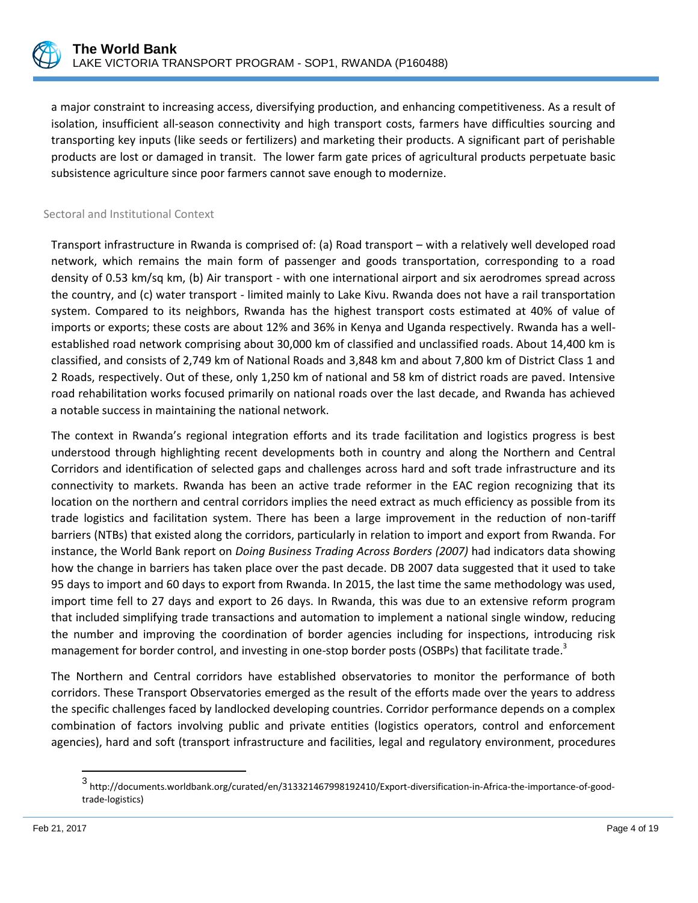

a major constraint to increasing access, diversifying production, and enhancing competitiveness. As a result of isolation, insufficient all-season connectivity and high transport costs, farmers have difficulties sourcing and transporting key inputs (like seeds or fertilizers) and marketing their products. A significant part of perishable products are lost or damaged in transit. The lower farm gate prices of agricultural products perpetuate basic subsistence agriculture since poor farmers cannot save enough to modernize.

## Sectoral and Institutional Context

Transport infrastructure in Rwanda is comprised of: (a) Road transport – with a relatively well developed road network, which remains the main form of passenger and goods transportation, corresponding to a road density of 0.53 km/sq km, (b) Air transport - with one international airport and six aerodromes spread across the country, and (c) water transport - limited mainly to Lake Kivu. Rwanda does not have a rail transportation system. Compared to its neighbors, Rwanda has the highest transport costs estimated at 40% of value of imports or exports; these costs are about 12% and 36% in Kenya and Uganda respectively. Rwanda has a wellestablished road network comprising about 30,000 km of classified and unclassified roads. About 14,400 km is classified, and consists of 2,749 km of National Roads and 3,848 km and about 7,800 km of District Class 1 and 2 Roads, respectively. Out of these, only 1,250 km of national and 58 km of district roads are paved. Intensive road rehabilitation works focused primarily on national roads over the last decade, and Rwanda has achieved a notable success in maintaining the national network.

The context in Rwanda's regional integration efforts and its trade facilitation and logistics progress is best understood through highlighting recent developments both in country and along the Northern and Central Corridors and identification of selected gaps and challenges across hard and soft trade infrastructure and its connectivity to markets. Rwanda has been an active trade reformer in the EAC region recognizing that its location on the northern and central corridors implies the need extract as much efficiency as possible from its trade logistics and facilitation system. There has been a large improvement in the reduction of non-tariff barriers (NTBs) that existed along the corridors, particularly in relation to import and export from Rwanda. For instance, the World Bank report on *Doing Business Trading Across Borders (2007)* had indicators data showing how the change in barriers has taken place over the past decade. DB 2007 data suggested that it used to take 95 days to import and 60 days to export from Rwanda. In 2015, the last time the same methodology was used, import time fell to 27 days and export to 26 days. In Rwanda, this was due to an extensive reform program that included simplifying trade transactions and automation to implement a national single window, reducing the number and improving the coordination of border agencies including for inspections, introducing risk management for border control, and investing in one-stop border posts (OSBPs) that facilitate trade.<sup>3</sup>

The Northern and Central corridors have established observatories to monitor the performance of both corridors. These Transport Observatories emerged as the result of the efforts made over the years to address the specific challenges faced by landlocked developing countries. Corridor performance depends on a complex combination of factors involving public and private entities (logistics operators, control and enforcement agencies), hard and soft (transport infrastructure and facilities, legal and regulatory environment, procedures

 3 [http://documents.worldbank.org/curated/en/313321467998192410/Export-diversification-in-Africa-the-importance-of-good](http://documents.worldbank.org/curated/en/313321467998192410/Export-diversification-in-Africa-the-importance-of-good-trade-logistics)[trade-logistics\)](http://documents.worldbank.org/curated/en/313321467998192410/Export-diversification-in-Africa-the-importance-of-good-trade-logistics)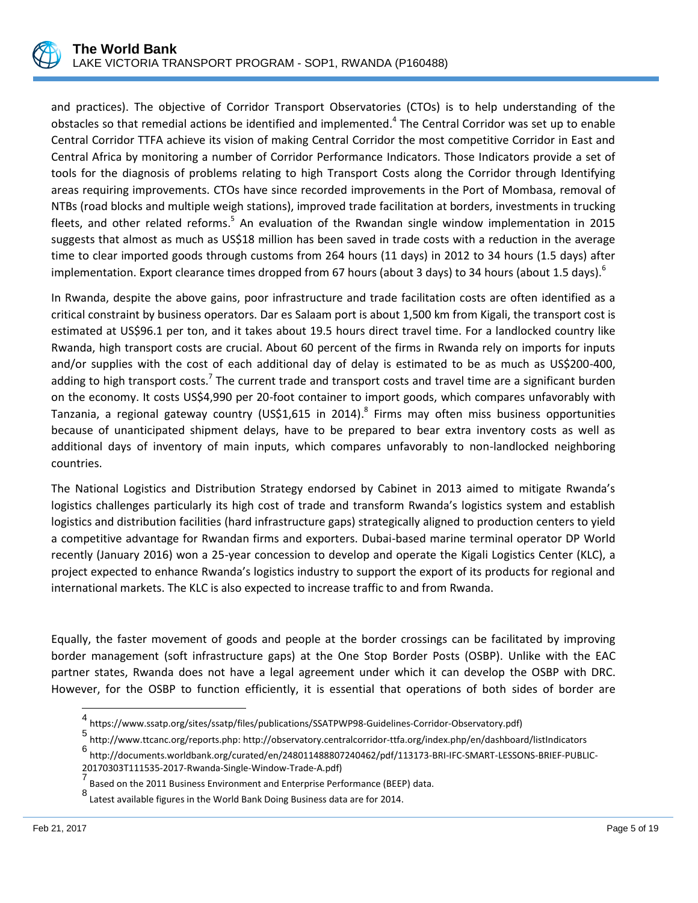

and practices). The objective of Corridor Transport Observatories (CTOs) is to help understanding of the obstacles so that remedial actions be identified and implemented.<sup>4</sup> The Central Corridor was set up to enable Central Corridor TTFA achieve its vision of making Central Corridor the most competitive Corridor in East and Central Africa by monitoring a number of Corridor Performance Indicators. Those Indicators provide a set of tools for the diagnosis of problems relating to high Transport Costs along the Corridor through Identifying areas requiring improvements. CTOs have since recorded improvements in the Port of Mombasa, removal of NTBs (road blocks and multiple weigh stations), improved trade facilitation at borders, investments in trucking fleets, and other related reforms.<sup>5</sup> An evaluation of the Rwandan single window implementation in 2015 suggests that almost as much as US\$18 million has been saved in trade costs with a reduction in the average time to clear imported goods through customs from 264 hours (11 days) in 2012 to 34 hours (1.5 days) after implementation. Export clearance times dropped from 67 hours (about 3 days) to 34 hours (about 1.5 days).<sup>6</sup>

In Rwanda, despite the above gains, poor infrastructure and trade facilitation costs are often identified as a critical constraint by business operators. Dar es Salaam port is about 1,500 km from Kigali, the transport cost is estimated at US\$96.1 per ton, and it takes about 19.5 hours direct travel time. For a landlocked country like Rwanda, high transport costs are crucial. About 60 percent of the firms in Rwanda rely on imports for inputs and/or supplies with the cost of each additional day of delay is estimated to be as much as US\$200-400, adding to high transport costs.<sup>7</sup> The current trade and transport costs and travel time are a significant burden on the economy. It costs US\$4,990 per 20-foot container to import goods, which compares unfavorably with Tanzania, a regional gateway country (US\$1,615 in 2014).<sup>8</sup> Firms may often miss business opportunities because of unanticipated shipment delays, have to be prepared to bear extra inventory costs as well as additional days of inventory of main inputs, which compares unfavorably to non-landlocked neighboring countries.

The National Logistics and Distribution Strategy endorsed by Cabinet in 2013 aimed to mitigate Rwanda's logistics challenges particularly its high cost of trade and transform Rwanda's logistics system and establish logistics and distribution facilities (hard infrastructure gaps) strategically aligned to production centers to yield a competitive advantage for Rwandan firms and exporters. Dubai-based marine terminal operator DP World recently (January 2016) won a 25-year concession to develop and operate the Kigali Logistics Center (KLC), a project expected to enhance Rwanda's logistics industry to support the export of its products for regional and international markets. The KLC is also expected to increase traffic to and from Rwanda.

Equally, the faster movement of goods and people at the border crossings can be facilitated by improving border management (soft infrastructure gaps) at the One Stop Border Posts (OSBP). Unlike with the EAC partner states, Rwanda does not have a legal agreement under which it can develop the OSBP with DRC. However, for the OSBP to function efficiently, it is essential that operations of both sides of border are

l

<sup>4</sup> https://www.ssatp.org/sites/ssatp/files/publications/SSATPWP98-Guidelines-Corridor-Observatory.pdf)

<sup>5</sup> [http://www.ttcanc.org/reports.php:](http://www.ttcanc.org/reports.php) http://observatory.centralcorridor-ttfa.org/index.php/en/dashboard/listIndicators

<sup>6</sup> http://documents.worldbank.org/curated/en/248011488807240462/pdf/113173-BRI-IFC-SMART-LESSONS-BRIEF-PUBLIC-20170303T111535-2017-Rwanda-Single-Window-Trade-A.pdf)

<sup>7&</sup>lt;br>Based on the 2011 Business Environment and Enterprise Performance (BEEP) data.

<sup>8</sup> Latest available figures in the World Bank Doing Business data are for 2014.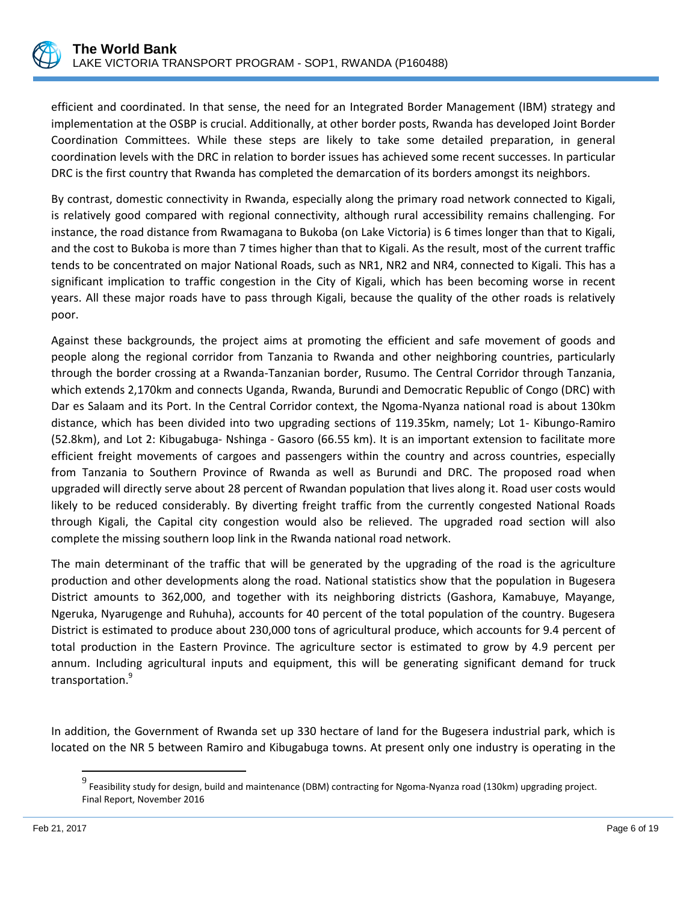

efficient and coordinated. In that sense, the need for an Integrated Border Management (IBM) strategy and implementation at the OSBP is crucial. Additionally, at other border posts, Rwanda has developed Joint Border Coordination Committees. While these steps are likely to take some detailed preparation, in general coordination levels with the DRC in relation to border issues has achieved some recent successes. In particular DRC is the first country that Rwanda has completed the demarcation of its borders amongst its neighbors.

By contrast, domestic connectivity in Rwanda, especially along the primary road network connected to Kigali, is relatively good compared with regional connectivity, although rural accessibility remains challenging. For instance, the road distance from Rwamagana to Bukoba (on Lake Victoria) is 6 times longer than that to Kigali, and the cost to Bukoba is more than 7 times higher than that to Kigali. As the result, most of the current traffic tends to be concentrated on major National Roads, such as NR1, NR2 and NR4, connected to Kigali. This has a significant implication to traffic congestion in the City of Kigali, which has been becoming worse in recent years. All these major roads have to pass through Kigali, because the quality of the other roads is relatively poor.

Against these backgrounds, the project aims at promoting the efficient and safe movement of goods and people along the regional corridor from Tanzania to Rwanda and other neighboring countries, particularly through the border crossing at a Rwanda-Tanzanian border, Rusumo. The Central Corridor through Tanzania, which extends 2,170km and connects Uganda, Rwanda, Burundi and Democratic Republic of Congo (DRC) with Dar es Salaam and its Port. In the Central Corridor context, the Ngoma-Nyanza national road is about 130km distance, which has been divided into two upgrading sections of 119.35km, namely; Lot 1- Kibungo-Ramiro (52.8km), and Lot 2: Kibugabuga- Nshinga - Gasoro (66.55 km). It is an important extension to facilitate more efficient freight movements of cargoes and passengers within the country and across countries, especially from Tanzania to Southern Province of Rwanda as well as Burundi and DRC. The proposed road when upgraded will directly serve about 28 percent of Rwandan population that lives along it. Road user costs would likely to be reduced considerably. By diverting freight traffic from the currently congested National Roads through Kigali, the Capital city congestion would also be relieved. The upgraded road section will also complete the missing southern loop link in the Rwanda national road network.

The main determinant of the traffic that will be generated by the upgrading of the road is the agriculture production and other developments along the road. National statistics show that the population in Bugesera District amounts to 362,000, and together with its neighboring districts (Gashora, Kamabuye, Mayange, Ngeruka, Nyarugenge and Ruhuha), accounts for 40 percent of the total population of the country. Bugesera District is estimated to produce about 230,000 tons of agricultural produce, which accounts for 9.4 percent of total production in the Eastern Province. The agriculture sector is estimated to grow by 4.9 percent per annum. Including agricultural inputs and equipment, this will be generating significant demand for truck transportation.<sup>9</sup>

<span id="page-5-0"></span>In addition, the Government of Rwanda set up 330 hectare of land for the Bugesera industrial park, which is located on the NR 5 between Ramiro and Kibugabuga towns. At present only one industry is operating in the

 9 Feasibility study for design, build and maintenance (DBM) contracting for Ngoma-Nyanza road (130km) upgrading project. Final Report, November 2016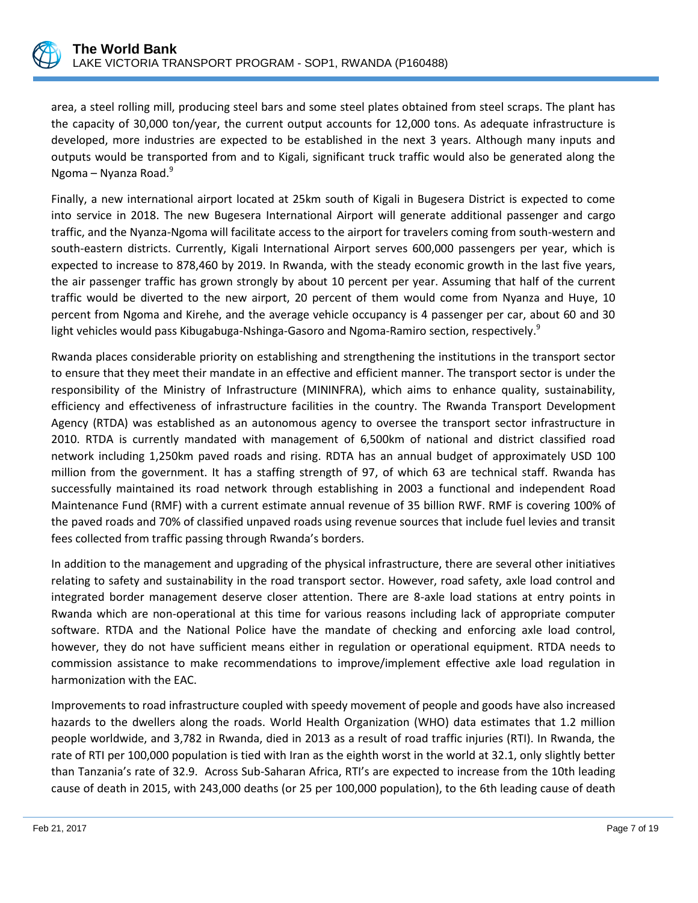

area, a steel rolling mill, producing steel bars and some steel plates obtained from steel scraps. The plant has the capacity of 30,000 ton/year, the current output accounts for 12,000 tons. As adequate infrastructure is developed, more industries are expected to be established in the next 3 years. Although many inputs and outputs would be transported from and to Kigali, significant truck traffic would also be generated along the Ngoma – Nyanza Road[.](#page-5-0)<sup>9</sup>

Finally, a new international airport located at 25km south of Kigali in Bugesera District is expected to come into service in 2018. The new Bugesera International Airport will generate additional passenger and cargo traffic, and the Nyanza-Ngoma will facilitate access to the airport for travelers coming from south-western and south-eastern districts. Currently, Kigali International Airport serves 600,000 passengers per year, which is expected to increase to 878,460 by 2019. In Rwanda, with the steady economic growth in the last five years, the air passenger traffic has grown strongly by about 10 percent per year. Assuming that half of the current traffic would be diverted to the new airport, 20 percent of them would come from Nyanza and Huye, 10 percent from Ngoma and Kirehe, and the average vehicle occupancy is 4 passenger per car, about 60 and 30 light vehicles would pass Kibugabuga-Nshinga-Gasoro and Ngoma-Ramiro section, respectively[.](#page-5-0)<sup>9</sup>

Rwanda places considerable priority on establishing and strengthening the institutions in the transport sector to ensure that they meet their mandate in an effective and efficient manner. The transport sector is under the responsibility of the Ministry of Infrastructure (MININFRA), which aims to enhance quality, sustainability, efficiency and effectiveness of infrastructure facilities in the country. The Rwanda Transport Development Agency (RTDA) was established as an autonomous agency to oversee the transport sector infrastructure in 2010. RTDA is currently mandated with management of 6,500km of national and district classified road network including 1,250km paved roads and rising. RDTA has an annual budget of approximately USD 100 million from the government. It has a staffing strength of 97, of which 63 are technical staff. Rwanda has successfully maintained its road network through establishing in 2003 a functional and independent Road Maintenance Fund (RMF) with a current estimate annual revenue of 35 billion RWF. RMF is covering 100% of the paved roads and 70% of classified unpaved roads using revenue sources that include fuel levies and transit fees collected from traffic passing through Rwanda's borders.

In addition to the management and upgrading of the physical infrastructure, there are several other initiatives relating to safety and sustainability in the road transport sector. However, road safety, axle load control and integrated border management deserve closer attention. There are 8-axle load stations at entry points in Rwanda which are non-operational at this time for various reasons including lack of appropriate computer software. RTDA and the National Police have the mandate of checking and enforcing axle load control, however, they do not have sufficient means either in regulation or operational equipment. RTDA needs to commission assistance to make recommendations to improve/implement effective axle load regulation in harmonization with the EAC.

Improvements to road infrastructure coupled with speedy movement of people and goods have also increased hazards to the dwellers along the roads. World Health Organization (WHO) data estimates that 1.2 million people worldwide, and 3,782 in Rwanda, died in 2013 as a result of road traffic injuries (RTI). In Rwanda, the rate of RTI per 100,000 population is tied with Iran as the eighth worst in the world at 32.1, only slightly better than Tanzania's rate of 32.9. Across Sub-Saharan Africa, RTI's are expected to increase from the 10th leading cause of death in 2015, with 243,000 deaths (or 25 per 100,000 population), to the 6th leading cause of death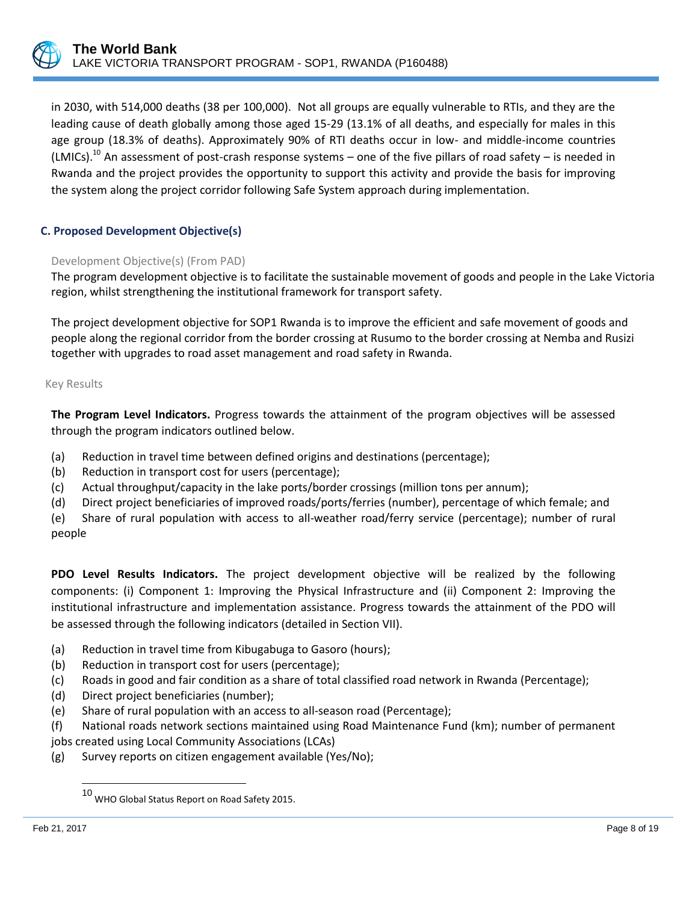

in 2030, with 514,000 deaths (38 per 100,000). Not all groups are equally vulnerable to RTIs, and they are the leading cause of death globally among those aged 15-29 (13.1% of all deaths, and especially for males in this age group (18.3% of deaths). Approximately 90% of RTI deaths occur in low- and middle-income countries (LMICs).<sup>10</sup> An assessment of post-crash response systems – one of the five pillars of road safety – is needed in Rwanda and the project provides the opportunity to support this activity and provide the basis for improving the system along the project corridor following Safe System approach during implementation.

## **C. Proposed Development Objective(s)**

## Development Objective(s) (From PAD)

The program development objective is to facilitate the sustainable movement of goods and people in the Lake Victoria region, whilst strengthening the institutional framework for transport safety.

The project development objective for SOP1 Rwanda is to improve the efficient and safe movement of goods and people along the regional corridor from the border crossing at Rusumo to the border crossing at Nemba and Rusizi together with upgrades to road asset management and road safety in Rwanda.

#### Key Results

**The Program Level Indicators.** Progress towards the attainment of the program objectives will be assessed through the program indicators outlined below.

- (a) Reduction in travel time between defined origins and destinations (percentage);
- (b) Reduction in transport cost for users (percentage);
- (c) Actual throughput/capacity in the lake ports/border crossings (million tons per annum);
- (d) Direct project beneficiaries of improved roads/ports/ferries (number), percentage of which female; and

(e) Share of rural population with access to all-weather road/ferry service (percentage); number of rural people

**PDO Level Results Indicators.** The project development objective will be realized by the following components: (i) Component 1: Improving the Physical Infrastructure and (ii) Component 2: Improving the institutional infrastructure and implementation assistance. Progress towards the attainment of the PDO will be assessed through the following indicators (detailed in Section VII).

- (a) Reduction in travel time from Kibugabuga to Gasoro (hours);
- (b) Reduction in transport cost for users (percentage);
- (c) Roads in good and fair condition as a share of total classified road network in Rwanda (Percentage);
- (d) Direct project beneficiaries (number);
- (e) Share of rural population with an access to all-season road (Percentage);
- (f) National roads network sections maintained using Road Maintenance Fund (km); number of permanent jobs created using Local Community Associations (LCAs)
- (g) Survey reports on citizen engagement available (Yes/No);

 $\overline{\phantom{a}}$ 

<sup>10</sup> WHO Global Status Report on Road Safety 2015.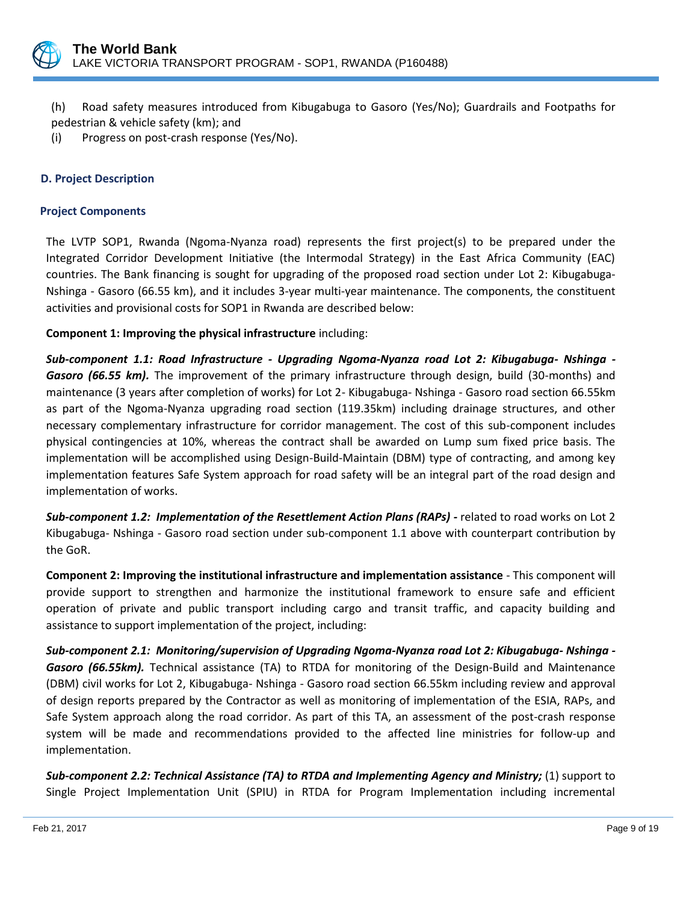

(h) Road safety measures introduced from Kibugabuga to Gasoro (Yes/No); Guardrails and Footpaths for pedestrian & vehicle safety (km); and

(i) Progress on post-crash response (Yes/No).

## **D. Project Description**

#### **Project Components**

The LVTP SOP1, Rwanda (Ngoma-Nyanza road) represents the first project(s) to be prepared under the Integrated Corridor Development Initiative (the Intermodal Strategy) in the East Africa Community (EAC) countries. The Bank financing is sought for upgrading of the proposed road section under Lot 2: Kibugabuga-Nshinga - Gasoro (66.55 km), and it includes 3-year multi-year maintenance. The components, the constituent activities and provisional costs for SOP1 in Rwanda are described below:

**Component 1: Improving the physical infrastructure** including:

*Sub-component 1.1: Road Infrastructure - Upgrading Ngoma-Nyanza road Lot 2: Kibugabuga- Nshinga - Gasoro (66.55 km).* The improvement of the primary infrastructure through design, build (30-months) and maintenance (3 years after completion of works) for Lot 2- Kibugabuga- Nshinga - Gasoro road section 66.55km as part of the Ngoma-Nyanza upgrading road section (119.35km) including drainage structures, and other necessary complementary infrastructure for corridor management. The cost of this sub-component includes physical contingencies at 10%, whereas the contract shall be awarded on Lump sum fixed price basis. The implementation will be accomplished using Design-Build-Maintain (DBM) type of contracting, and among key implementation features Safe System approach for road safety will be an integral part of the road design and implementation of works.

*Sub-component 1.2: Implementation of the Resettlement Action Plans (RAPs) -* related to road works on Lot 2 Kibugabuga- Nshinga - Gasoro road section under sub-component 1.1 above with counterpart contribution by the GoR.

**Component 2: Improving the institutional infrastructure and implementation assistance** - This component will provide support to strengthen and harmonize the institutional framework to ensure safe and efficient operation of private and public transport including cargo and transit traffic, and capacity building and assistance to support implementation of the project, including:

*Sub-component 2.1: Monitoring/supervision of Upgrading Ngoma-Nyanza road Lot 2: Kibugabuga- Nshinga - Gasoro (66.55km).* Technical assistance (TA) to RTDA for monitoring of the Design-Build and Maintenance (DBM) civil works for Lot 2, Kibugabuga- Nshinga - Gasoro road section 66.55km including review and approval of design reports prepared by the Contractor as well as monitoring of implementation of the ESIA, RAPs, and Safe System approach along the road corridor. As part of this TA, an assessment of the post-crash response system will be made and recommendations provided to the affected line ministries for follow-up and implementation.

**Sub-component 2.2: Technical Assistance (TA) to RTDA and Implementing Agency and Ministry;** (1) support to Single Project Implementation Unit (SPIU) in RTDA for Program Implementation including incremental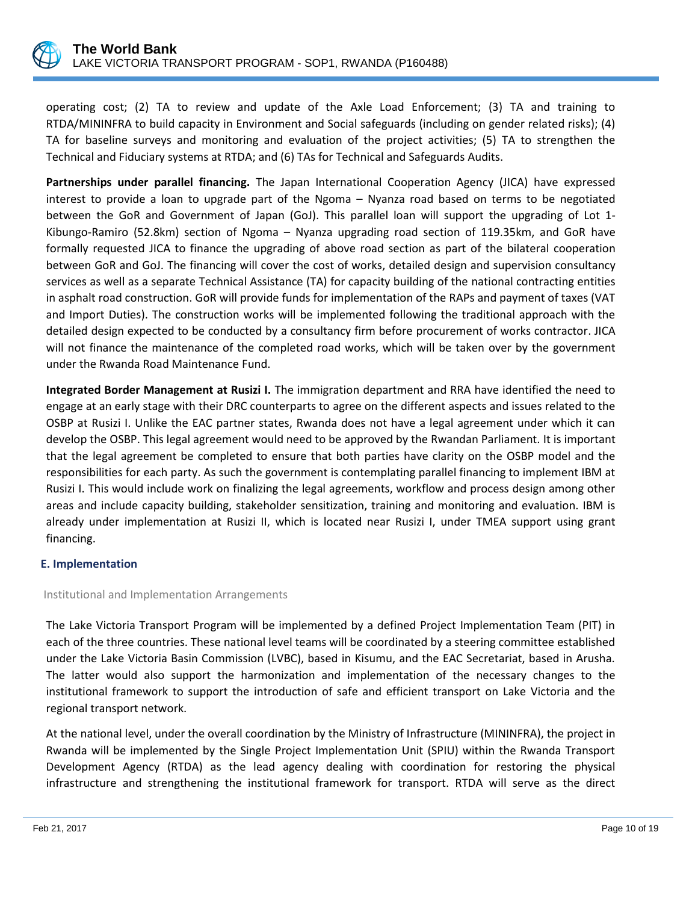

operating cost; (2) TA to review and update of the Axle Load Enforcement; (3) TA and training to RTDA/MININFRA to build capacity in Environment and Social safeguards (including on gender related risks); (4) TA for baseline surveys and monitoring and evaluation of the project activities; (5) TA to strengthen the Technical and Fiduciary systems at RTDA; and (6) TAs for Technical and Safeguards Audits.

**Partnerships under parallel financing.** The Japan International Cooperation Agency (JICA) have expressed interest to provide a loan to upgrade part of the Ngoma – Nyanza road based on terms to be negotiated between the GoR and Government of Japan (GoJ). This parallel loan will support the upgrading of Lot 1- Kibungo-Ramiro (52.8km) section of Ngoma – Nyanza upgrading road section of 119.35km, and GoR have formally requested JICA to finance the upgrading of above road section as part of the bilateral cooperation between GoR and GoJ. The financing will cover the cost of works, detailed design and supervision consultancy services as well as a separate Technical Assistance (TA) for capacity building of the national contracting entities in asphalt road construction. GoR will provide funds for implementation of the RAPs and payment of taxes (VAT and Import Duties). The construction works will be implemented following the traditional approach with the detailed design expected to be conducted by a consultancy firm before procurement of works contractor. JICA will not finance the maintenance of the completed road works, which will be taken over by the government under the Rwanda Road Maintenance Fund.

**Integrated Border Management at Rusizi I.** The immigration department and RRA have identified the need to engage at an early stage with their DRC counterparts to agree on the different aspects and issues related to the OSBP at Rusizi I. Unlike the EAC partner states, Rwanda does not have a legal agreement under which it can develop the OSBP. This legal agreement would need to be approved by the Rwandan Parliament. It is important that the legal agreement be completed to ensure that both parties have clarity on the OSBP model and the responsibilities for each party. As such the government is contemplating parallel financing to implement IBM at Rusizi I. This would include work on finalizing the legal agreements, workflow and process design among other areas and include capacity building, stakeholder sensitization, training and monitoring and evaluation. IBM is already under implementation at Rusizi II, which is located near Rusizi I, under TMEA support using grant financing.

## **E. Implementation**

## Institutional and Implementation Arrangements

The Lake Victoria Transport Program will be implemented by a defined Project Implementation Team (PIT) in each of the three countries. These national level teams will be coordinated by a steering committee established under the Lake Victoria Basin Commission (LVBC), based in Kisumu, and the EAC Secretariat, based in Arusha. The latter would also support the harmonization and implementation of the necessary changes to the institutional framework to support the introduction of safe and efficient transport on Lake Victoria and the regional transport network.

At the national level, under the overall coordination by the Ministry of Infrastructure (MININFRA), the project in Rwanda will be implemented by the Single Project Implementation Unit (SPIU) within the Rwanda Transport Development Agency (RTDA) as the lead agency dealing with coordination for restoring the physical infrastructure and strengthening the institutional framework for transport. RTDA will serve as the direct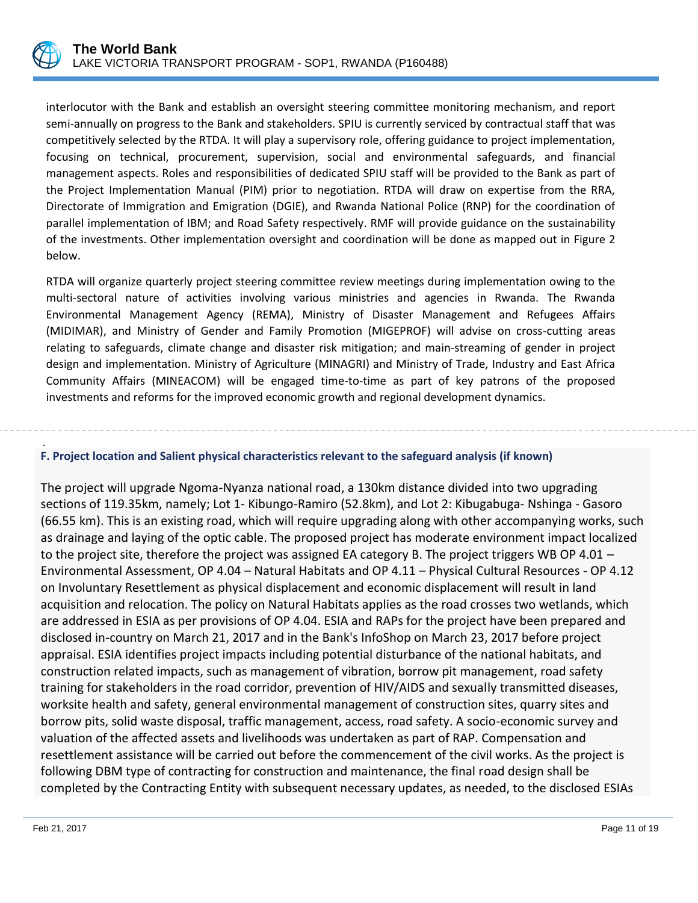

interlocutor with the Bank and establish an oversight steering committee monitoring mechanism, and report semi-annually on progress to the Bank and stakeholders. SPIU is currently serviced by contractual staff that was competitively selected by the RTDA. It will play a supervisory role, offering guidance to project implementation, focusing on technical, procurement, supervision, social and environmental safeguards, and financial management aspects. Roles and responsibilities of dedicated SPIU staff will be provided to the Bank as part of the Project Implementation Manual (PIM) prior to negotiation. RTDA will draw on expertise from the RRA, Directorate of Immigration and Emigration (DGIE), and Rwanda National Police (RNP) for the coordination of parallel implementation of IBM; and Road Safety respectively. RMF will provide guidance on the sustainability of the investments. Other implementation oversight and coordination will be done as mapped out in Figure 2 below.

RTDA will organize quarterly project steering committee review meetings during implementation owing to the multi-sectoral nature of activities involving various ministries and agencies in Rwanda. The Rwanda Environmental Management Agency (REMA), Ministry of Disaster Management and Refugees Affairs (MIDIMAR), and Ministry of Gender and Family Promotion (MIGEPROF) will advise on cross-cutting areas relating to safeguards, climate change and disaster risk mitigation; and main-streaming of gender in project design and implementation. Ministry of Agriculture (MINAGRI) and Ministry of Trade, Industry and East Africa Community Affairs (MINEACOM) will be engaged time-to-time as part of key patrons of the proposed investments and reforms for the improved economic growth and regional development dynamics.

#### . **F. Project location and Salient physical characteristics relevant to the safeguard analysis (if known)**

The project will upgrade Ngoma-Nyanza national road, a 130km distance divided into two upgrading sections of 119.35km, namely; Lot 1- Kibungo-Ramiro (52.8km), and Lot 2: Kibugabuga- Nshinga - Gasoro (66.55 km). This is an existing road, which will require upgrading along with other accompanying works, such as drainage and laying of the optic cable. The proposed project has moderate environment impact localized to the project site, therefore the project was assigned EA category B. The project triggers WB OP 4.01 – Environmental Assessment, OP 4.04 – Natural Habitats and OP 4.11 – Physical Cultural Resources - OP 4.12 on Involuntary Resettlement as physical displacement and economic displacement will result in land acquisition and relocation. The policy on Natural Habitats applies as the road crosses two wetlands, which are addressed in ESIA as per provisions of OP 4.04. ESIA and RAPs for the project have been prepared and disclosed in-country on March 21, 2017 and in the Bank's InfoShop on March 23, 2017 before project appraisal. ESIA identifies project impacts including potential disturbance of the national habitats, and construction related impacts, such as management of vibration, borrow pit management, road safety training for stakeholders in the road corridor, prevention of HIV/AIDS and sexually transmitted diseases, worksite health and safety, general environmental management of construction sites, quarry sites and borrow pits, solid waste disposal, traffic management, access, road safety. A socio-economic survey and valuation of the affected assets and livelihoods was undertaken as part of RAP. Compensation and resettlement assistance will be carried out before the commencement of the civil works. As the project is following DBM type of contracting for construction and maintenance, the final road design shall be completed by the Contracting Entity with subsequent necessary updates, as needed, to the disclosed ESIAs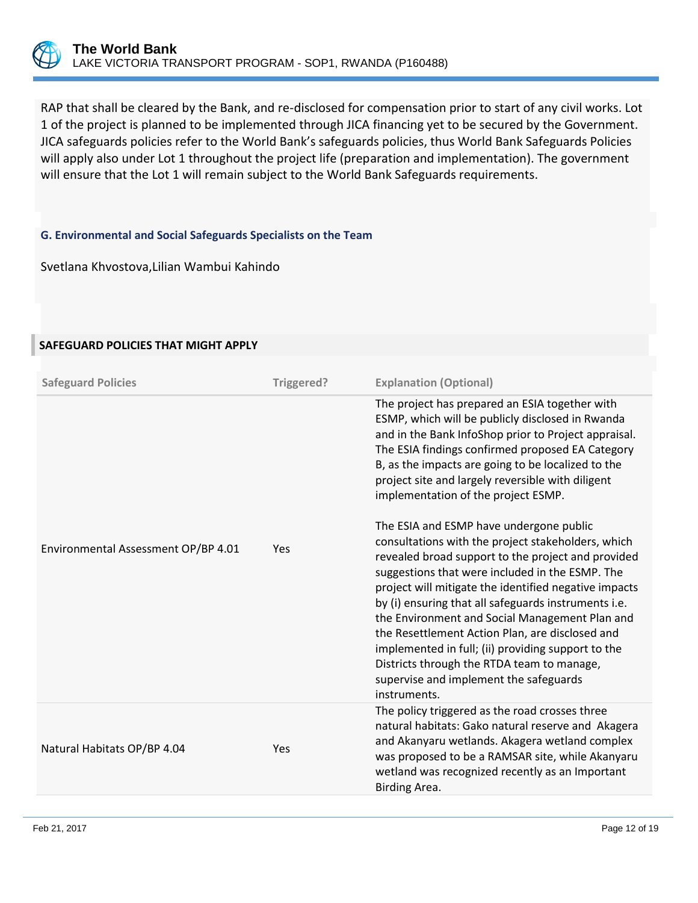

RAP that shall be cleared by the Bank, and re-disclosed for compensation prior to start of any civil works. Lot 1 of the project is planned to be implemented through JICA financing yet to be secured by the Government. JICA safeguards policies refer to the World Bank's safeguards policies, thus World Bank Safeguards Policies will apply also under Lot 1 throughout the project life (preparation and implementation). The government will ensure that the Lot 1 will remain subject to the World Bank Safeguards requirements.

## **G. Environmental and Social Safeguards Specialists on the Team**

Svetlana Khvostova,Lilian Wambui Kahindo

## **SAFEGUARD POLICIES THAT MIGHT APPLY**

| <b>Safeguard Policies</b>           | Triggered? | <b>Explanation (Optional)</b>                                                                                                                                                                                                                                                                                                                                                                                                                                                                                                                                                              |
|-------------------------------------|------------|--------------------------------------------------------------------------------------------------------------------------------------------------------------------------------------------------------------------------------------------------------------------------------------------------------------------------------------------------------------------------------------------------------------------------------------------------------------------------------------------------------------------------------------------------------------------------------------------|
|                                     |            | The project has prepared an ESIA together with<br>ESMP, which will be publicly disclosed in Rwanda<br>and in the Bank InfoShop prior to Project appraisal.<br>The ESIA findings confirmed proposed EA Category<br>B, as the impacts are going to be localized to the<br>project site and largely reversible with diligent<br>implementation of the project ESMP.                                                                                                                                                                                                                           |
| Environmental Assessment OP/BP 4.01 | Yes        | The ESIA and ESMP have undergone public<br>consultations with the project stakeholders, which<br>revealed broad support to the project and provided<br>suggestions that were included in the ESMP. The<br>project will mitigate the identified negative impacts<br>by (i) ensuring that all safeguards instruments i.e.<br>the Environment and Social Management Plan and<br>the Resettlement Action Plan, are disclosed and<br>implemented in full; (ii) providing support to the<br>Districts through the RTDA team to manage,<br>supervise and implement the safeguards<br>instruments. |
| Natural Habitats OP/BP 4.04         | Yes        | The policy triggered as the road crosses three<br>natural habitats: Gako natural reserve and Akagera<br>and Akanyaru wetlands. Akagera wetland complex<br>was proposed to be a RAMSAR site, while Akanyaru<br>wetland was recognized recently as an Important<br>Birding Area.                                                                                                                                                                                                                                                                                                             |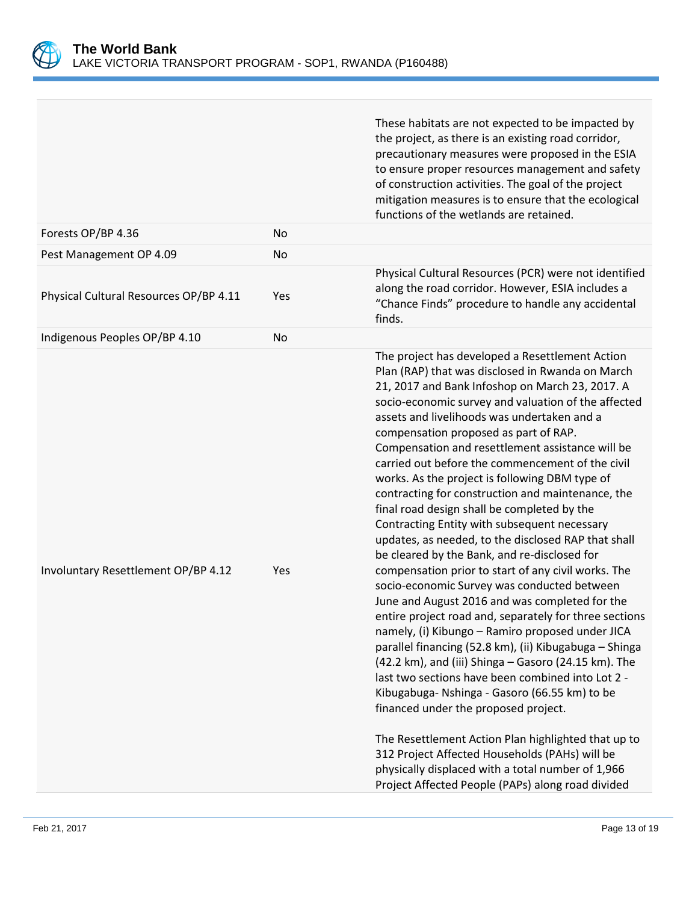

|                                        |     | These habitats are not expected to be impacted by<br>the project, as there is an existing road corridor,<br>precautionary measures were proposed in the ESIA<br>to ensure proper resources management and safety<br>of construction activities. The goal of the project<br>mitigation measures is to ensure that the ecological<br>functions of the wetlands are retained.                                                                                                                                                                                                                                                                                                                                                                                                                                                                                                                                                                                                                                                                                                                                                                                                                                                                                                                                                                                                                                                                                                          |
|----------------------------------------|-----|-------------------------------------------------------------------------------------------------------------------------------------------------------------------------------------------------------------------------------------------------------------------------------------------------------------------------------------------------------------------------------------------------------------------------------------------------------------------------------------------------------------------------------------------------------------------------------------------------------------------------------------------------------------------------------------------------------------------------------------------------------------------------------------------------------------------------------------------------------------------------------------------------------------------------------------------------------------------------------------------------------------------------------------------------------------------------------------------------------------------------------------------------------------------------------------------------------------------------------------------------------------------------------------------------------------------------------------------------------------------------------------------------------------------------------------------------------------------------------------|
| Forests OP/BP 4.36                     | No  |                                                                                                                                                                                                                                                                                                                                                                                                                                                                                                                                                                                                                                                                                                                                                                                                                                                                                                                                                                                                                                                                                                                                                                                                                                                                                                                                                                                                                                                                                     |
| Pest Management OP 4.09                | No  |                                                                                                                                                                                                                                                                                                                                                                                                                                                                                                                                                                                                                                                                                                                                                                                                                                                                                                                                                                                                                                                                                                                                                                                                                                                                                                                                                                                                                                                                                     |
| Physical Cultural Resources OP/BP 4.11 | Yes | Physical Cultural Resources (PCR) were not identified<br>along the road corridor. However, ESIA includes a<br>"Chance Finds" procedure to handle any accidental<br>finds.                                                                                                                                                                                                                                                                                                                                                                                                                                                                                                                                                                                                                                                                                                                                                                                                                                                                                                                                                                                                                                                                                                                                                                                                                                                                                                           |
| Indigenous Peoples OP/BP 4.10          | No  |                                                                                                                                                                                                                                                                                                                                                                                                                                                                                                                                                                                                                                                                                                                                                                                                                                                                                                                                                                                                                                                                                                                                                                                                                                                                                                                                                                                                                                                                                     |
| Involuntary Resettlement OP/BP 4.12    | Yes | The project has developed a Resettlement Action<br>Plan (RAP) that was disclosed in Rwanda on March<br>21, 2017 and Bank Infoshop on March 23, 2017. A<br>socio-economic survey and valuation of the affected<br>assets and livelihoods was undertaken and a<br>compensation proposed as part of RAP.<br>Compensation and resettlement assistance will be<br>carried out before the commencement of the civil<br>works. As the project is following DBM type of<br>contracting for construction and maintenance, the<br>final road design shall be completed by the<br>Contracting Entity with subsequent necessary<br>updates, as needed, to the disclosed RAP that shall<br>be cleared by the Bank, and re-disclosed for<br>compensation prior to start of any civil works. The<br>socio-economic Survey was conducted between<br>June and August 2016 and was completed for the<br>entire project road and, separately for three sections<br>namely, (i) Kibungo - Ramiro proposed under JICA<br>parallel financing (52.8 km), (ii) Kibugabuga - Shinga<br>(42.2 km), and (iii) Shinga - Gasoro (24.15 km). The<br>last two sections have been combined into Lot 2 -<br>Kibugabuga- Nshinga - Gasoro (66.55 km) to be<br>financed under the proposed project.<br>The Resettlement Action Plan highlighted that up to<br>312 Project Affected Households (PAHs) will be<br>physically displaced with a total number of 1,966<br>Project Affected People (PAPs) along road divided |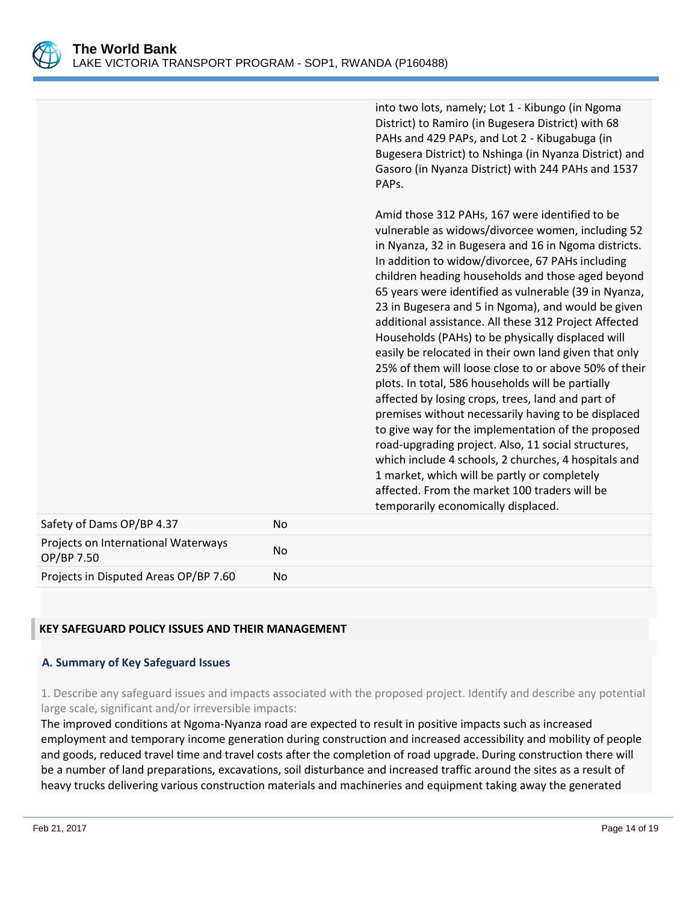

into two lots, namely; Lot 1 - Kibungo (in Ngoma District) to Ramiro (in Bugesera District) with 68 PAHs and 429 PAPs, and Lot 2 - Kibugabuga (in Bugesera District) to Nshinga (in Nyanza District) and Gasoro (in Nyanza District) with 244 PAHs and 1537 PAPs.

Amid those 312 PAHs, 167 were identified to be vulnerable as widows/divorcee women, including 52 in Nyanza, 32 in Bugesera and 16 in Ngoma districts. In addition to widow/divorcee, 67 PAHs including children heading households and those aged beyond 65 years were identified as vulnerable (39 in Nyanza, 23 in Bugesera and 5 in Ngoma), and would be given additional assistance. All these 312 Project Affected Households (PAHs) to be physically displaced will easily be relocated in their own land given that only 25% of them will loose close to or above 50% of their plots. In total, 586 households will be partially affected by losing crops, trees, land and part of premises without necessarily having to be displaced to give way for the implementation of the proposed road-upgrading project. Also, 11 social structures, which include 4 schools, 2 churches, 4 hospitals and 1 market, which will be partly or completely affected. From the market 100 traders will be temporarily economically displaced.

| Safety of Dams OP/BP 4.37                         | No. |
|---------------------------------------------------|-----|
| Projects on International Waterways<br>OP/BP 7.50 | No. |
| Projects in Disputed Areas OP/BP 7.60             | No. |

## **KEY SAFEGUARD POLICY ISSUES AND THEIR MANAGEMENT**

## **A. Summary of Key Safeguard Issues**

1. Describe any safeguard issues and impacts associated with the proposed project. Identify and describe any potential large scale, significant and/or irreversible impacts:

The improved conditions at Ngoma-Nyanza road are expected to result in positive impacts such as increased employment and temporary income generation during construction and increased accessibility and mobility of people and goods, reduced travel time and travel costs after the completion of road upgrade. During construction there will be a number of land preparations, excavations, soil disturbance and increased traffic around the sites as a result of heavy trucks delivering various construction materials and machineries and equipment taking away the generated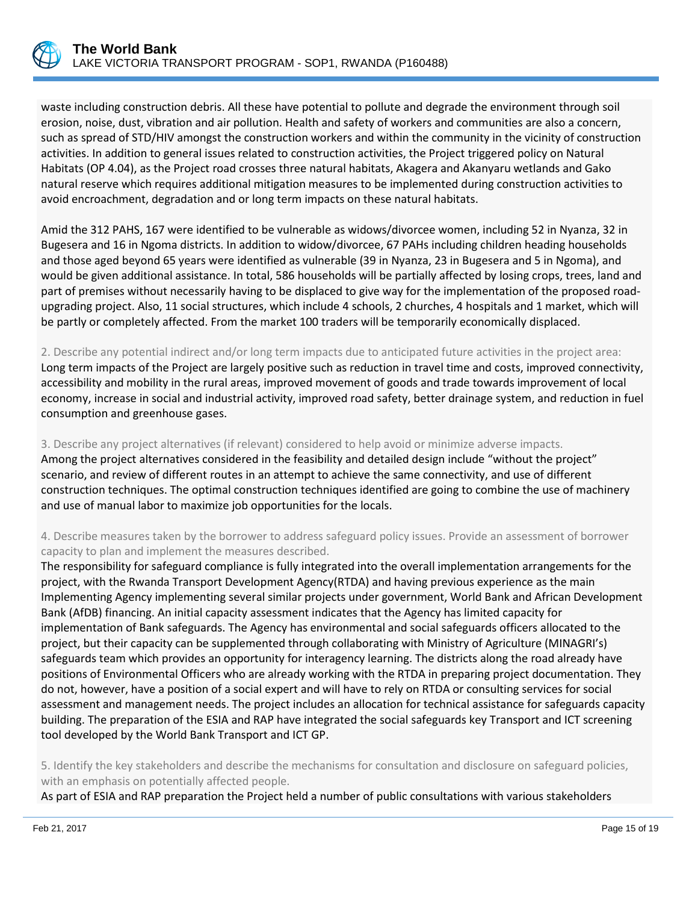

waste including construction debris. All these have potential to pollute and degrade the environment through soil erosion, noise, dust, vibration and air pollution. Health and safety of workers and communities are also a concern, such as spread of STD/HIV amongst the construction workers and within the community in the vicinity of construction activities. In addition to general issues related to construction activities, the Project triggered policy on Natural Habitats (OP 4.04), as the Project road crosses three natural habitats, Akagera and Akanyaru wetlands and Gako natural reserve which requires additional mitigation measures to be implemented during construction activities to avoid encroachment, degradation and or long term impacts on these natural habitats.

Amid the 312 PAHS, 167 were identified to be vulnerable as widows/divorcee women, including 52 in Nyanza, 32 in Bugesera and 16 in Ngoma districts. In addition to widow/divorcee, 67 PAHs including children heading households and those aged beyond 65 years were identified as vulnerable (39 in Nyanza, 23 in Bugesera and 5 in Ngoma), and would be given additional assistance. In total, 586 households will be partially affected by losing crops, trees, land and part of premises without necessarily having to be displaced to give way for the implementation of the proposed roadupgrading project. Also, 11 social structures, which include 4 schools, 2 churches, 4 hospitals and 1 market, which will be partly or completely affected. From the market 100 traders will be temporarily economically displaced.

2. Describe any potential indirect and/or long term impacts due to anticipated future activities in the project area: Long term impacts of the Project are largely positive such as reduction in travel time and costs, improved connectivity, accessibility and mobility in the rural areas, improved movement of goods and trade towards improvement of local economy, increase in social and industrial activity, improved road safety, better drainage system, and reduction in fuel consumption and greenhouse gases.

3. Describe any project alternatives (if relevant) considered to help avoid or minimize adverse impacts. Among the project alternatives considered in the feasibility and detailed design include "without the project" scenario, and review of different routes in an attempt to achieve the same connectivity, and use of different construction techniques. The optimal construction techniques identified are going to combine the use of machinery and use of manual labor to maximize job opportunities for the locals.

4. Describe measures taken by the borrower to address safeguard policy issues. Provide an assessment of borrower capacity to plan and implement the measures described.

The responsibility for safeguard compliance is fully integrated into the overall implementation arrangements for the project, with the Rwanda Transport Development Agency(RTDA) and having previous experience as the main Implementing Agency implementing several similar projects under government, World Bank and African Development Bank (AfDB) financing. An initial capacity assessment indicates that the Agency has limited capacity for implementation of Bank safeguards. The Agency has environmental and social safeguards officers allocated to the project, but their capacity can be supplemented through collaborating with Ministry of Agriculture (MINAGRI's) safeguards team which provides an opportunity for interagency learning. The districts along the road already have positions of Environmental Officers who are already working with the RTDA in preparing project documentation. They do not, however, have a position of a social expert and will have to rely on RTDA or consulting services for social assessment and management needs. The project includes an allocation for technical assistance for safeguards capacity building. The preparation of the ESIA and RAP have integrated the social safeguards key Transport and ICT screening tool developed by the World Bank Transport and ICT GP.

5. Identify the key stakeholders and describe the mechanisms for consultation and disclosure on safeguard policies, with an emphasis on potentially affected people.

As part of ESIA and RAP preparation the Project held a number of public consultations with various stakeholders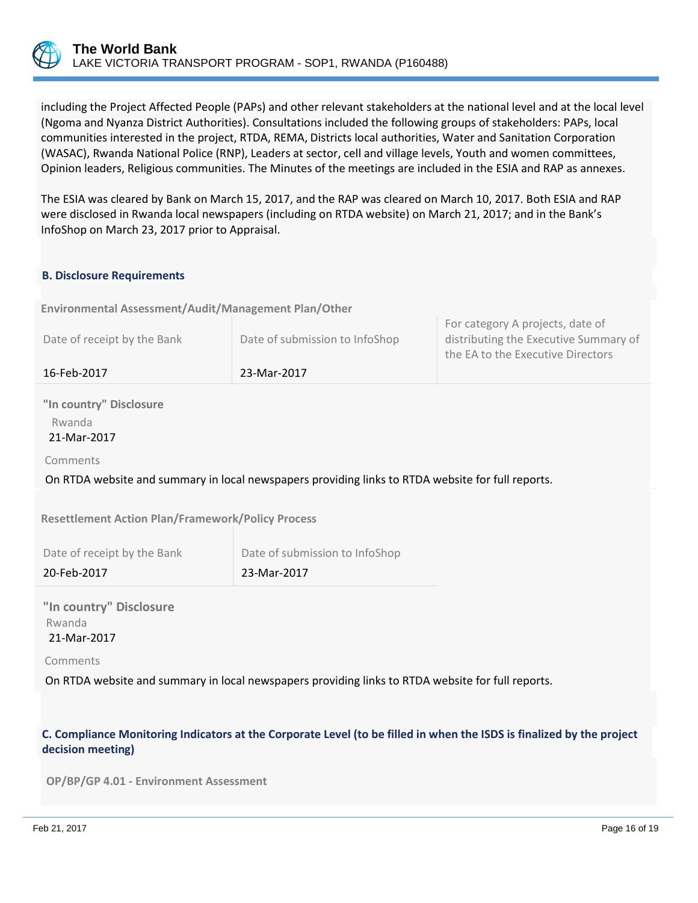

including the Project Affected People (PAPs) and other relevant stakeholders at the national level and at the local level (Ngoma and Nyanza District Authorities). Consultations included the following groups of stakeholders: PAPs, local communities interested in the project, RTDA, REMA, Districts local authorities, Water and Sanitation Corporation (WASAC), Rwanda National Police (RNP), Leaders at sector, cell and village levels, Youth and women committees, Opinion leaders, Religious communities. The Minutes of the meetings are included in the ESIA and RAP as annexes.

The ESIA was cleared by Bank on March 15, 2017, and the RAP was cleared on March 10, 2017. Both ESIA and RAP were disclosed in Rwanda local newspapers (including on RTDA website) on March 21, 2017; and in the Bank's InfoShop on March 23, 2017 prior to Appraisal.

## **B. Disclosure Requirements**

**OPS\_EA\_DISCLOSURE\_TABLE Environmental Assessment/Audit/Management Plan/Other**

| 16-Feb-2017                 | 23-Mar-2017                    |                                                                                                                |
|-----------------------------|--------------------------------|----------------------------------------------------------------------------------------------------------------|
| Date of receipt by the Bank | Date of submission to InfoShop | For category A projects, date of<br>distributing the Executive Summary of<br>the EA to the Executive Directors |

**"In country" Disclosure** Rwanda 21-Mar-2017

Comments

On RTDA website and summary in local newspapers providing links to RTDA website for full reports.

**Resettlement Action Plan/Framework/Policy Process**

Date of receipt by the Bank Date of submission to InfoShop

20-Feb-2017 23-Mar-2017

**"In country" Disclosure** Rwanda 21-Mar-2017

Comments

On RTDA website and summary in local newspapers providing links to RTDA website for full reports.

## **C. Compliance Monitoring Indicators at the Corporate Level (to be filled in when the ISDS is finalized by the project decision meeting)**

**OP/BP/GP 4.01 - Environment Assessment**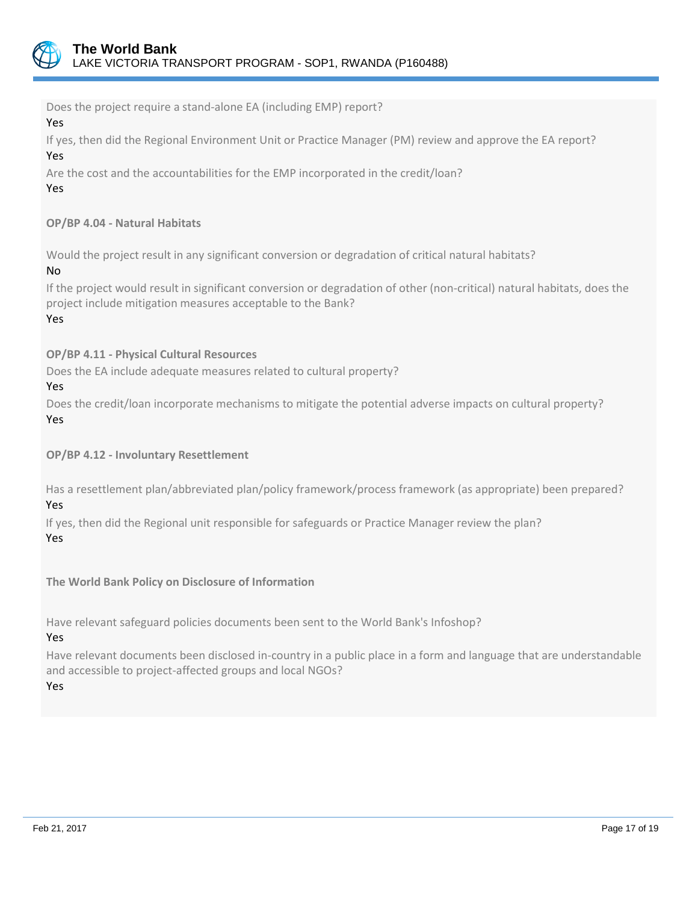

Does the project require a stand-alone EA (including EMP) report? Yes If yes, then did the Regional Environment Unit or Practice Manager (PM) review and approve the EA report? Yes Are the cost and the accountabilities for the EMP incorporated in the credit/loan? Yes **OP/BP 4.04 - Natural Habitats** Would the project result in any significant conversion or degradation of critical natural habitats? No If the project would result in significant conversion or degradation of other (non-critical) natural habitats, does the project include mitigation measures acceptable to the Bank? Yes **OP/BP 4.11 - Physical Cultural Resources** Does the EA include adequate measures related to cultural property? Yes Does the credit/loan incorporate mechanisms to mitigate the potential adverse impacts on cultural property? Yes **OP/BP 4.12 - Involuntary Resettlement** Has a resettlement plan/abbreviated plan/policy framework/process framework (as appropriate) been prepared? Yes If yes, then did the Regional unit responsible for safeguards or Practice Manager review the plan? Yes **The World Bank Policy on Disclosure of Information** Have relevant safeguard policies documents been sent to the World Bank's Infoshop? Yes Have relevant documents been disclosed in-country in a public place in a form and language that are understandable and accessible to project-affected groups and local NGOs? Yes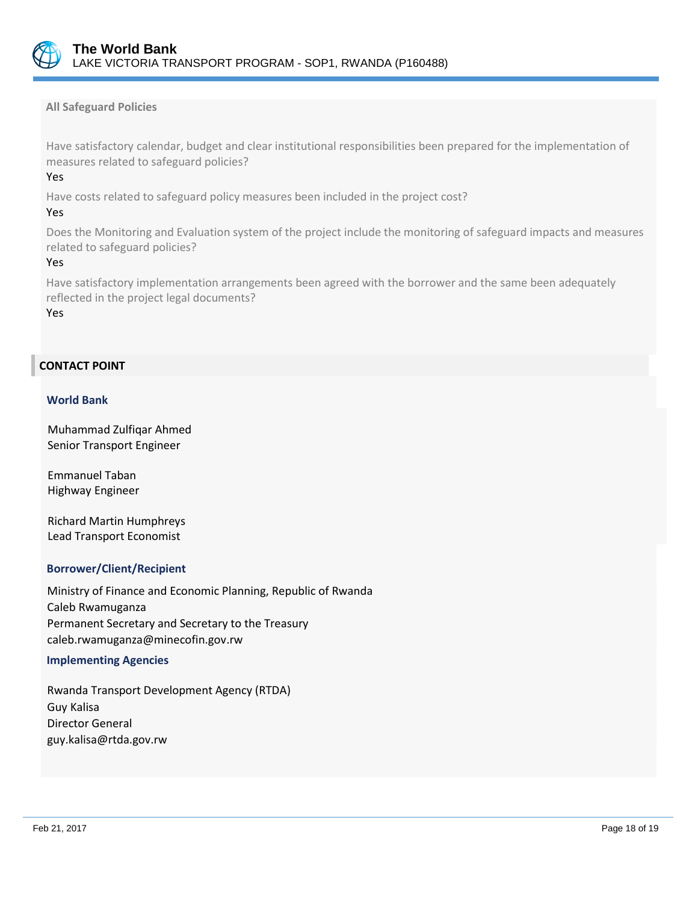

**All Safeguard Policies**

Have satisfactory calendar, budget and clear institutional responsibilities been prepared for the implementation of measures related to safeguard policies?

## Yes

Have costs related to safeguard policy measures been included in the project cost?

#### Yes

Does the Monitoring and Evaluation system of the project include the monitoring of safeguard impacts and measures related to safeguard policies?

#### Yes

Have satisfactory implementation arrangements been agreed with the borrower and the same been adequately reflected in the project legal documents?

Yes

## **CONTACT POINT**

#### **World Bank**

Muhammad Zulfiqar Ahmed Senior Transport Engineer

Emmanuel Taban Highway Engineer

Richard Martin Humphreys Lead Transport Economist

#### **Borrower/Client/Recipient**

Ministry of Finance and Economic Planning, Republic of Rwanda Caleb Rwamuganza Permanent Secretary and Secretary to the Treasury caleb.rwamuganza@minecofin.gov.rw

#### **Implementing Agencies**

Rwanda Transport Development Agency (RTDA) Guy Kalisa Director General guy.kalisa@rtda.gov.rw